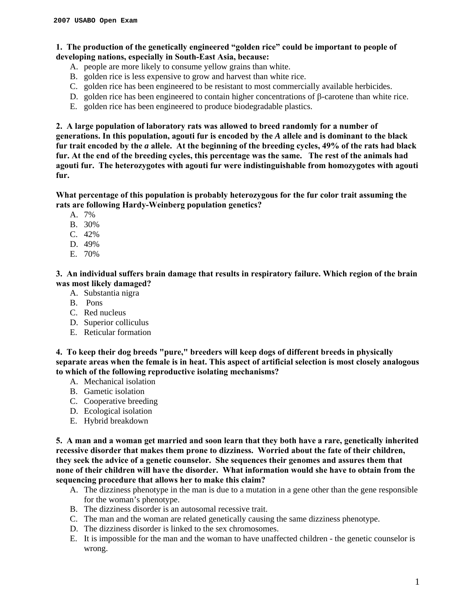# **1. The production of the genetically engineered "golden rice" could be important to people of developing nations, especially in South-East Asia, because:**

- A. people are more likely to consume yellow grains than white.
- B. golden rice is less expensive to grow and harvest than white rice.
- C. golden rice has been engineered to be resistant to most commercially available herbicides.
- D. golden rice has been engineered to contain higher concentrations of β-carotene than white rice.
- E. golden rice has been engineered to produce biodegradable plastics.

**2. A large population of laboratory rats was allowed to breed randomly for a number of generations. In this population, agouti fur is encoded by the** *A* **allele and is dominant to the black fur trait encoded by the** *a* **allele. At the beginning of the breeding cycles, 49% of the rats had black fur. At the end of the breeding cycles, this percentage was the same. The rest of the animals had agouti fur. The heterozygotes with agouti fur were indistinguishable from homozygotes with agouti fur.** 

**What percentage of this population is probably heterozygous for the fur color trait assuming the rats are following Hardy-Weinberg population genetics?** 

- A. 7%
- B. 30%
- C. 42%
- D. 49%
- E. 70%

**3. An individual suffers brain damage that results in respiratory failure. Which region of the brain was most likely damaged?** 

- A. Substantia nigra
- B. Pons
- C. Red nucleus
- D. Superior colliculus
- E. Reticular formation

**4. To keep their dog breeds "pure," breeders will keep dogs of different breeds in physically separate areas when the female is in heat. This aspect of artificial selection is most closely analogous to which of the following reproductive isolating mechanisms?** 

- A. Mechanical isolation
- B. Gametic isolation
- C. Cooperative breeding
- D. Ecological isolation
- E. Hybrid breakdown

**5. A man and a woman get married and soon learn that they both have a rare, genetically inherited recessive disorder that makes them prone to dizziness. Worried about the fate of their children, they seek the advice of a genetic counselor. She sequences their genomes and assures them that none of their children will have the disorder. What information would she have to obtain from the sequencing procedure that allows her to make this claim?** 

- A. The dizziness phenotype in the man is due to a mutation in a gene other than the gene responsible for the woman's phenotype.
- B. The dizziness disorder is an autosomal recessive trait.
- C. The man and the woman are related genetically causing the same dizziness phenotype.
- D. The dizziness disorder is linked to the sex chromosomes.
- E. It is impossible for the man and the woman to have unaffected children the genetic counselor is wrong.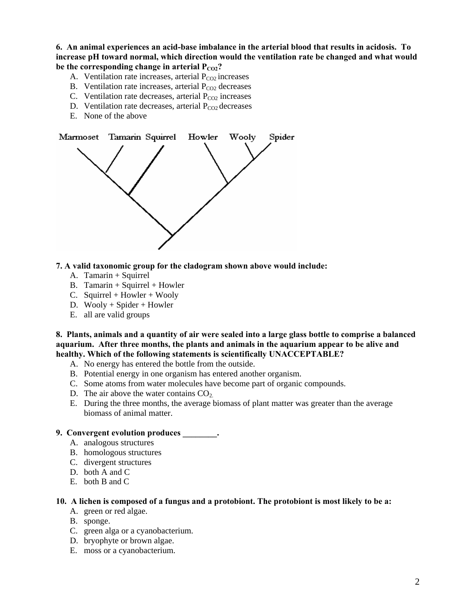**6. An animal experiences an acid-base imbalance in the arterial blood that results in acidosis. To increase pH toward normal, which direction would the ventilation rate be changed and what would**  be the corresponding change in arterial  $P_{CO2}$ ?

- A. Ventilation rate increases, arterial  $P_{CO2}$  increases
- B. Ventilation rate increases, arterial  $P_{CO2}$  decreases
- C. Ventilation rate decreases, arterial  $P_{CO2}$  increases
- D. Ventilation rate decreases, arterial  $P_{CO2}$  decreases
- E. None of the above



#### **7. A valid taxonomic group for the cladogram shown above would include:**

- A. Tamarin + Squirrel
- B. Tamarin + Squirrel + Howler
- C. Squirrel + Howler + Wooly
- D. Wooly + Spider + Howler
- E. all are valid groups

**8. Plants, animals and a quantity of air were sealed into a large glass bottle to comprise a balanced aquarium. After three months, the plants and animals in the aquarium appear to be alive and healthy. Which of the following statements is scientifically UNACCEPTABLE?** 

- A. No energy has entered the bottle from the outside.
- B. Potential energy in one organism has entered another organism.
- C. Some atoms from water molecules have become part of organic compounds.
- D. The air above the water contains  $CO<sub>2</sub>$ .
- E. During the three months, the average biomass of plant matter was greater than the average biomass of animal matter.

# **9. Convergent evolution produces \_\_\_\_\_\_\_\_.**

- A. analogous structures
- B. homologous structures
- C. divergent structures
- D. both A and C.
- E. both B and C

#### **10. A lichen is composed of a fungus and a protobiont. The protobiont is most likely to be a:**

- A. green or red algae.
- B. sponge.
- C. green alga or a cyanobacterium.
- D. bryophyte or brown algae.
- E. moss or a cyanobacterium.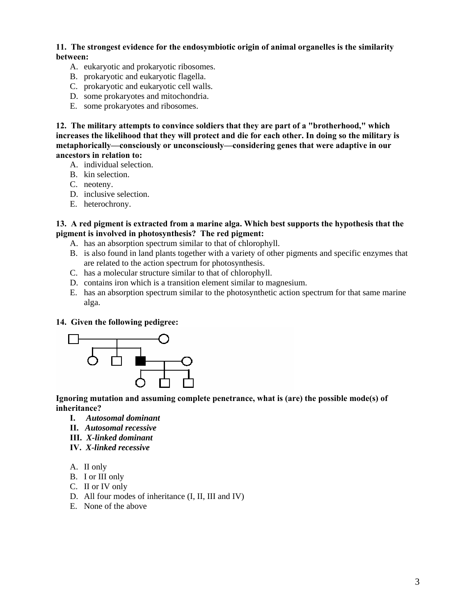**11. The strongest evidence for the endosymbiotic origin of animal organelles is the similarity between:**

- A. eukaryotic and prokaryotic ribosomes.
- B. prokaryotic and eukaryotic flagella.
- C. prokaryotic and eukaryotic cell walls.
- D. some prokaryotes and mitochondria.
- E. some prokaryotes and ribosomes.

**12. The military attempts to convince soldiers that they are part of a "brotherhood," which increases the likelihood that they will protect and die for each other. In doing so the military is metaphorically—consciously or unconsciously—considering genes that were adaptive in our ancestors in relation to:**

- A. individual selection.
- B. kin selection.
- C. neoteny.
- D. inclusive selection.
- E. heterochrony.

**13. A red pigment is extracted from a marine alga. Which best supports the hypothesis that the pigment is involved in photosynthesis? The red pigment:** 

- A. has an absorption spectrum similar to that of chlorophyll.
- B. is also found in land plants together with a variety of other pigments and specific enzymes that are related to the action spectrum for photosynthesis.
- C. has a molecular structure similar to that of chlorophyll.
- D. contains iron which is a transition element similar to magnesium.
- E. has an absorption spectrum similar to the photosynthetic action spectrum for that same marine alga.

#### **14. Given the following pedigree:**



**Ignoring mutation and assuming complete penetrance, what is (are) the possible mode(s) of inheritance?** 

- **I.** *Autosomal dominant*
- **II.** *Autosomal recessive*
- **III.** *X-linked dominant*
- **IV.** *X-linked recessive*
- A. II only
- B. I or III only
- C. II or IV only
- D. All four modes of inheritance (I, II, III and IV)
- E. None of the above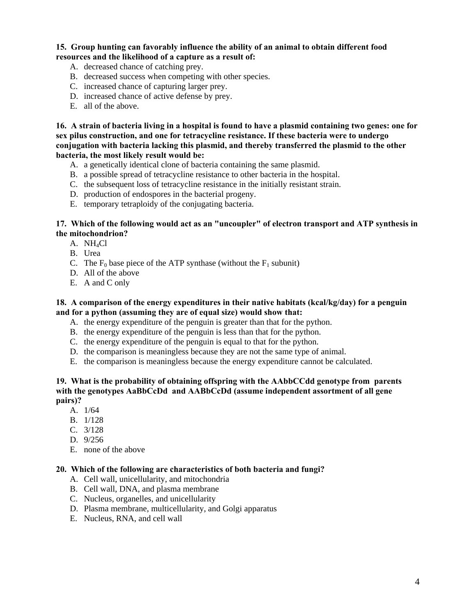### **15. Group hunting can favorably influence the ability of an animal to obtain different food resources and the likelihood of a capture as a result of:**

- A. decreased chance of catching prey.
- B. decreased success when competing with other species.
- C. increased chance of capturing larger prey.
- D. increased chance of active defense by prey.
- E. all of the above.

**16. A strain of bacteria living in a hospital is found to have a plasmid containing two genes: one for sex pilus construction, and one for tetracycline resistance. If these bacteria were to undergo conjugation with bacteria lacking this plasmid, and thereby transferred the plasmid to the other bacteria, the most likely result would be:** 

- A. a genetically identical clone of bacteria containing the same plasmid.
- B. a possible spread of tetracycline resistance to other bacteria in the hospital.
- C. the subsequent loss of tetracycline resistance in the initially resistant strain.
- D. production of endospores in the bacterial progeny.
- E. temporary tetraploidy of the conjugating bacteria.

### **17. Which of the following would act as an "uncoupler" of electron transport and ATP synthesis in the mitochondrion?**

- A. NH4Cl
- B. Urea
- C. The  $F_0$  base piece of the ATP synthase (without the  $F_1$  subunit)
- D. All of the above
- E. A and C only

#### **18. A comparison of the energy expenditures in their native habitats (kcal/kg/day) for a penguin and for a python (assuming they are of equal size) would show that:**

- A. the energy expenditure of the penguin is greater than that for the python.
- B. the energy expenditure of the penguin is less than that for the python.
- C. the energy expenditure of the penguin is equal to that for the python.
- D. the comparison is meaningless because they are not the same type of animal.
- E. the comparison is meaningless because the energy expenditure cannot be calculated.

# **19. What is the probability of obtaining offspring with the AAbbCCdd genotype from parents with the genotypes AaBbCcDd and AABbCcDd (assume independent assortment of all gene pairs)?**

- A. 1/64
- B. 1/128
- C. 3/128
- D. 9/256
- E. none of the above

#### **20. Which of the following are characteristics of both bacteria and fungi?**

- A. Cell wall, unicellularity, and mitochondria
- B. Cell wall, DNA, and plasma membrane
- C. Nucleus, organelles, and unicellularity
- D. Plasma membrane, multicellularity, and Golgi apparatus
- E. Nucleus, RNA, and cell wall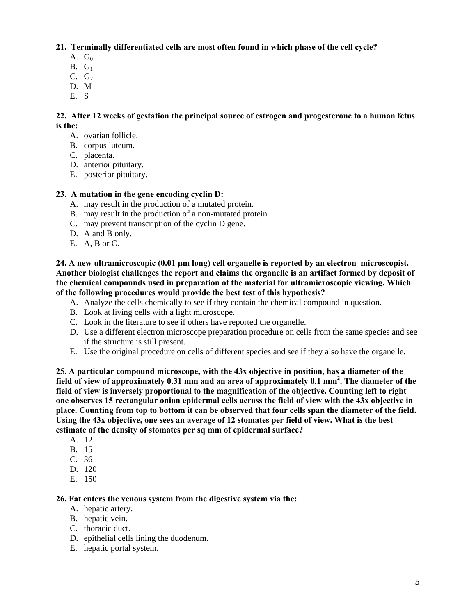**21. Terminally differentiated cells are most often found in which phase of the cell cycle?**

- A.  $G_0$
- $B. G<sub>1</sub>$
- $C. G<sub>2</sub>$
- D. M
- E. S

# **22. After 12 weeks of gestation the principal source of estrogen and progesterone to a human fetus is the:**

- A. ovarian follicle.
- B. corpus luteum.
- C. placenta.
- D. anterior pituitary.
- E. posterior pituitary.

# **23. A mutation in the gene encoding cyclin D:**

- A. may result in the production of a mutated protein.
- B. may result in the production of a non-mutated protein.
- C. may prevent transcription of the cyclin D gene.
- D. A and B only.
- E. A, B or C.

### **24. A new ultramicroscopic (0.01 μm long) cell organelle is reported by an electron microscopist. Another biologist challenges the report and claims the organelle is an artifact formed by deposit of the chemical compounds used in preparation of the material for ultramicroscopic viewing. Which of the following procedures would provide the best test of this hypothesis?**

- A. Analyze the cells chemically to see if they contain the chemical compound in question.
- B. Look at living cells with a light microscope.
- C. Look in the literature to see if others have reported the organelle.
- D. Use a different electron microscope preparation procedure on cells from the same species and see if the structure is still present.
- E. Use the original procedure on cells of different species and see if they also have the organelle.

**25. A particular compound microscope, with the 43x objective in position, has a diameter of the field of view of approximately 0.31 mm and an area of approximately 0.1 mm2 . The diameter of the field of view is inversely proportional to the magnification of the objective. Counting left to right one observes 15 rectangular onion epidermal cells across the field of view with the 43x objective in place. Counting from top to bottom it can be observed that four cells span the diameter of the field. Using the 43x objective, one sees an average of 12 stomates per field of view. What is the best estimate of the density of stomates per sq mm of epidermal surface?** 

- A. 12
- B. 15
- C. 36
- D. 120
- E. 150

### **26. Fat enters the venous system from the digestive system via the:**

- A. hepatic artery.
- B. hepatic vein.
- C. thoracic duct.
- D. epithelial cells lining the duodenum.
- E. hepatic portal system.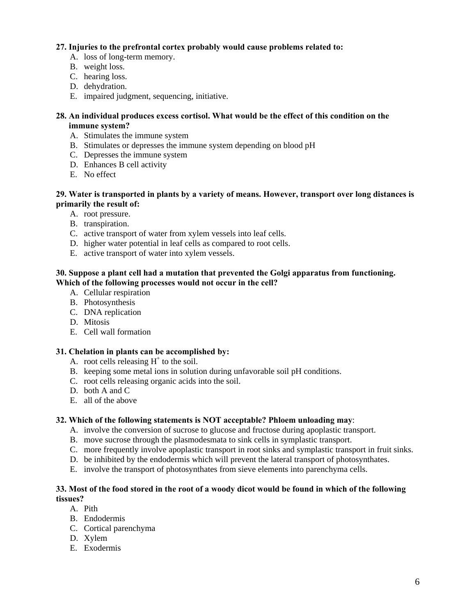# **27. Injuries to the prefrontal cortex probably would cause problems related to:**

- A. loss of long-term memory.
- B. weight loss.
- C. hearing loss.
- D. dehydration.
- E. impaired judgment, sequencing, initiative.

# **28. An individual produces excess cortisol. What would be the effect of this condition on the immune system?**

- A. Stimulates the immune system
- B. Stimulates or depresses the immune system depending on blood pH
- C. Depresses the immune system
- D. Enhances B cell activity
- E. No effect

#### **29. Water is transported in plants by a variety of means. However, transport over long distances is primarily the result of:**

- A. root pressure.
- B. transpiration.
- C. active transport of water from xylem vessels into leaf cells.
- D. higher water potential in leaf cells as compared to root cells.
- E. active transport of water into xylem vessels.

### **30. Suppose a plant cell had a mutation that prevented the Golgi apparatus from functioning. Which of the following processes would not occur in the cell?**

- A. Cellular respiration
- B. Photosynthesis
- C. DNA replication
- D. Mitosis
- E. Cell wall formation

### **31. Chelation in plants can be accomplished by:**

- A. root cells releasing  $H^+$  to the soil.
- B. keeping some metal ions in solution during unfavorable soil pH conditions.
- C. root cells releasing organic acids into the soil.
- D. both A and C
- E. all of the above

### **32. Which of the following statements is NOT acceptable? Phloem unloading may**:

- A. involve the conversion of sucrose to glucose and fructose during apoplastic transport.
- B. move sucrose through the plasmodesmata to sink cells in symplastic transport.
- C. more frequently involve apoplastic transport in root sinks and symplastic transport in fruit sinks.
- D. be inhibited by the endodermis which will prevent the lateral transport of photosynthates.
- E. involve the transport of photosynthates from sieve elements into parenchyma cells.

### **33. Most of the food stored in the root of a woody dicot would be found in which of the following tissues?**

- A. Pith
- B. Endodermis
- C. Cortical parenchyma
- D. Xylem
- E. Exodermis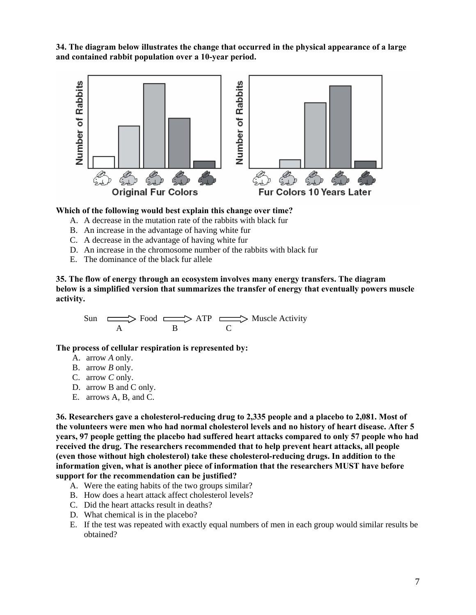**34. The diagram below illustrates the change that occurred in the physical appearance of a large and contained rabbit population over a 10-year period.** 



#### **Which of the following would best explain this change over time?**

- A. A decrease in the mutation rate of the rabbits with black fur
- B. An increase in the advantage of having white fur
- C. A decrease in the advantage of having white fur
- D. An increase in the chromosome number of the rabbits with black fur
- E. The dominance of the black fur allele

**35. The flow of energy through an ecosystem involves many energy transfers. The diagram below is a simplified version that summarizes the transfer of energy that eventually powers muscle activity.** 

Sun  $\Box$  Food  $\Box$  ATP  $\Box$  Muscle Activity A B C

**The process of cellular respiration is represented by:** 

- A. arrow *A* only.
- B. arrow *B* only.
- C. arrow *C* only.
- D. arrow B and C only.
- E. arrows A, B, and C.

**36. Researchers gave a cholesterol-reducing drug to 2,335 people and a placebo to 2,081. Most of the volunteers were men who had normal cholesterol levels and no history of heart disease. After 5 years, 97 people getting the placebo had suffered heart attacks compared to only 57 people who had received the drug. The researchers recommended that to help prevent heart attacks, all people (even those without high cholesterol) take these cholesterol-reducing drugs. In addition to the information given, what is another piece of information that the researchers MUST have before support for the recommendation can be justified?** 

- A. Were the eating habits of the two groups similar?
- B. How does a heart attack affect cholesterol levels?
- C. Did the heart attacks result in deaths?
- D. What chemical is in the placebo?
- E. If the test was repeated with exactly equal numbers of men in each group would similar results be obtained?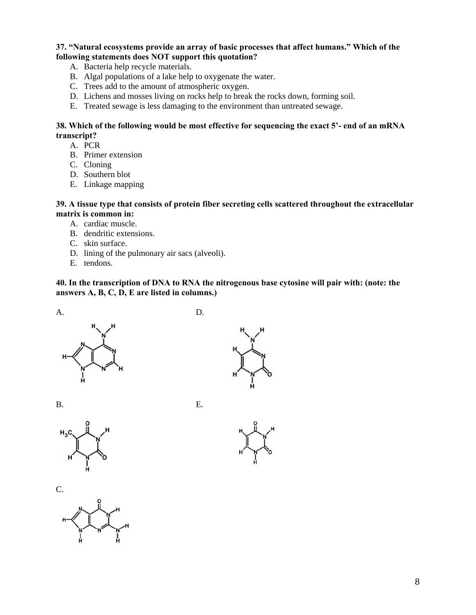# **37. "Natural ecosystems provide an array of basic processes that affect humans." Which of the following statements does NOT support this quotation?**

- A. Bacteria help recycle materials.
- B. Algal populations of a lake help to oxygenate the water.
- C. Trees add to the amount of atmospheric oxygen.
- D. Lichens and mosses living on rocks help to break the rocks down, forming soil.
- E. Treated sewage is less damaging to the environment than untreated sewage.

### **38. Which of the following would be most effective for sequencing the exact 5'- end of an mRNA transcript?**

- A. PCR
- B. Primer extension
- C. Cloning
- D. Southern blot
- E. Linkage mapping

# **39. A tissue type that consists of protein fiber secreting cells scattered throughout the extracellular matrix is common in:**

- A. cardiac muscle.
- B. dendritic extensions.
- C. skin surface.
- D. lining of the pulmonary air sacs (alveoli).
- E. tendons.

**40. In the transcription of DNA to RNA the nitrogenous base cytosine will pair with: (note: the answers A, B, C, D, E are listed in columns.)** 



















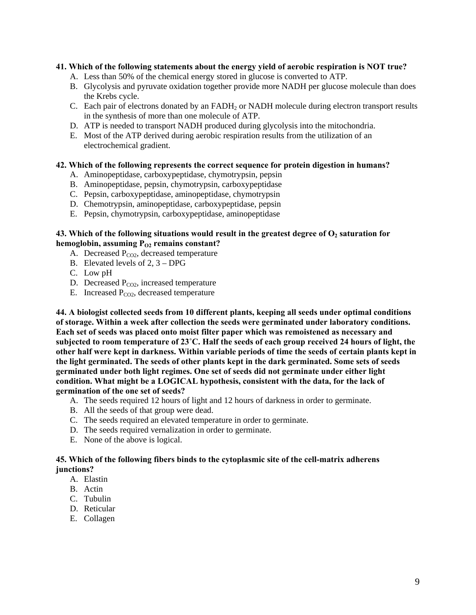# **41. Which of the following statements about the energy yield of aerobic respiration is NOT true?**

- A. Less than 50% of the chemical energy stored in glucose is converted to ATP.
- B. Glycolysis and pyruvate oxidation together provide more NADH per glucose molecule than does the Krebs cycle.
- C. Each pair of electrons donated by an  $FADH<sub>2</sub>$  or NADH molecule during electron transport results in the synthesis of more than one molecule of ATP.
- D. ATP is needed to transport NADH produced during glycolysis into the mitochondria.
- E. Most of the ATP derived during aerobic respiration results from the utilization of an electrochemical gradient.

# **42. Which of the following represents the correct sequence for protein digestion in humans?**

- A. Aminopeptidase, carboxypeptidase, chymotrypsin, pepsin
- B. Aminopeptidase, pepsin, chymotrypsin, carboxypeptidase
- C. Pepsin, carboxypeptidase, aminopeptidase, chymotrypsin
- D. Chemotrypsin, aminopeptidase, carboxypeptidase, pepsin
- E. Pepsin, chymotrypsin, carboxypeptidase, aminopeptidase

# 43. Which of the following situations would result in the greatest degree of  $O<sub>2</sub>$  saturation for hemoglobin, assuming P<sub>O2</sub> remains constant?

- A. Decreased  $P_{CO2}$ , decreased temperature
- B. Elevated levels of 2, 3 DPG
- C. Low pH
- D. Decreased  $P_{CO2}$ , increased temperature
- E. Increased  $P_{CO2}$ , decreased temperature

**44. A biologist collected seeds from 10 different plants, keeping all seeds under optimal conditions of storage. Within a week after collection the seeds were germinated under laboratory conditions. Each set of seeds was placed onto moist filter paper which was remoistened as necessary and subjected to room temperature of 23˚C. Half the seeds of each group received 24 hours of light, the other half were kept in darkness. Within variable periods of time the seeds of certain plants kept in the light germinated. The seeds of other plants kept in the dark germinated. Some sets of seeds germinated under both light regimes. One set of seeds did not germinate under either light condition. What might be a LOGICAL hypothesis, consistent with the data, for the lack of germination of the one set of seeds?** 

- A. The seeds required 12 hours of light and 12 hours of darkness in order to germinate.
- B. All the seeds of that group were dead.
- C. The seeds required an elevated temperature in order to germinate.
- D. The seeds required vernalization in order to germinate.
- E. None of the above is logical.

### **45. Which of the following fibers binds to the cytoplasmic site of the cell-matrix adherens junctions?**

- A. Elastin
- B. Actin
- C. Tubulin
- D. Reticular
- E. Collagen